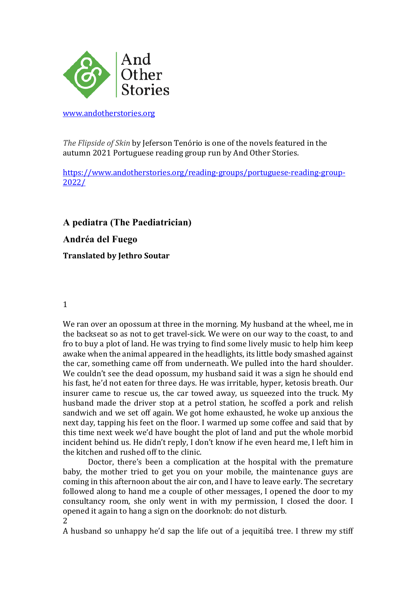

www.andotherstories.org

*The Flipside of Skin* by Jeferson Tenório is one of the novels featured in the autumn 2021 Portuguese reading group run by And Other Stories.

https://www.andotherstories.org/reading-groups/portuguese-reading-group-2022/

**A pediatra (The Paediatrician) Andréa del Fuego Translated by Jethro Soutar**

## 1

We ran over an opossum at three in the morning. My husband at the wheel, me in the backseat so as not to get travel-sick. We were on our way to the coast, to and fro to buy a plot of land. He was trying to find some lively music to help him keep awake when the animal appeared in the headlights, its little body smashed against the car, something came off from underneath. We pulled into the hard shoulder. We couldn't see the dead opossum, my husband said it was a sign he should end his fast, he'd not eaten for three days. He was irritable, hyper, ketosis breath. Our insurer came to rescue us, the car towed away, us squeezed into the truck. My husband made the driver stop at a petrol station, he scoffed a pork and relish sandwich and we set off again. We got home exhausted, he woke up anxious the next day, tapping his feet on the floor. I warmed up some coffee and said that by this time next week we'd have bought the plot of land and put the whole morbid incident behind us. He didn't reply, I don't know if he even heard me, I left him in the kitchen and rushed off to the clinic.

Doctor, there's been a complication at the hospital with the premature baby, the mother tried to get you on your mobile, the maintenance guys are coming in this afternoon about the air con, and I have to leave early. The secretary followed along to hand me a couple of other messages, I opened the door to my consultancy room, she only went in with my permission, I closed the door. I opened it again to hang a sign on the doorknob: do not disturb.

2

A husband so unhappy he'd sap the life out of a jequitibá tree. I threw my stiff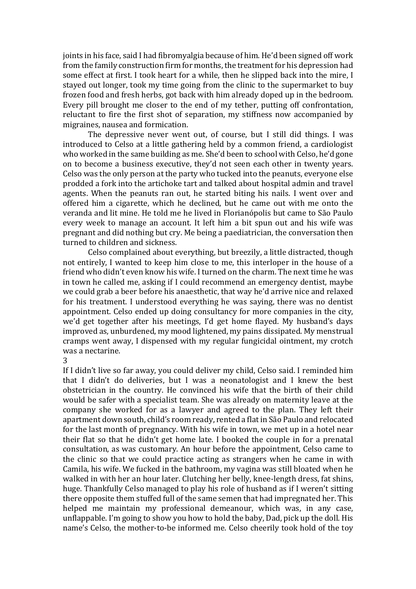joints in his face, said I had fibromyalgia because of him. He'd been signed off work from the family construction firm for months, the treatment for his depression had some effect at first. I took heart for a while, then he slipped back into the mire, I stayed out longer, took my time going from the clinic to the supermarket to buy frozen food and fresh herbs, got back with him already doped up in the bedroom. Every pill brought me closer to the end of my tether, putting off confrontation, reluctant to fire the first shot of separation, my stiffness now accompanied by migraines, nausea and formication.

The depressive never went out, of course, but I still did things. I was introduced to Celso at a little gathering held by a common friend, a cardiologist who worked in the same building as me. She'd been to school with Celso, he'd gone on to become a business executive, they'd not seen each other in twenty years. Celso was the only person at the party who tucked into the peanuts, everyone else prodded a fork into the artichoke tart and talked about hospital admin and travel agents. When the peanuts ran out, he started biting his nails. I went over and offered him a cigarette, which he declined, but he came out with me onto the veranda and lit mine. He told me he lived in Florianópolis but came to São Paulo every week to manage an account. It left him a bit spun out and his wife was pregnant and did nothing but cry. Me being a paediatrician, the conversation then turned to children and sickness.

Celso complained about everything, but breezily, a little distracted, though not entirely. I wanted to keep him close to me, this interloper in the house of a friend who didn't even know his wife. I turned on the charm. The next time he was in town he called me, asking if I could recommend an emergency dentist, maybe we could grab a beer before his anaesthetic, that way he'd arrive nice and relaxed for his treatment. I understood everything he was saying, there was no dentist appointment. Celso ended up doing consultancy for more companies in the city, we'd get together after his meetings, I'd get home flayed. My husband's days improved as, unburdened, my mood lightened, my pains dissipated. My menstrual cramps went away, I dispensed with my regular fungicidal ointment, my crotch was a nectarine.

3

If I didn't live so far away, you could deliver my child, Celso said. I reminded him that I didn't do deliveries, but I was a neonatologist and I knew the best obstetrician in the country. He convinced his wife that the birth of their child would be safer with a specialist team. She was already on maternity leave at the company she worked for as a lawyer and agreed to the plan. They left their apartment down south, child's room ready, rented a flat in São Paulo and relocated for the last month of pregnancy. With his wife in town, we met up in a hotel near their flat so that he didn't get home late. I booked the couple in for a prenatal consultation, as was customary. An hour before the appointment, Celso came to the clinic so that we could practice acting as strangers when he came in with Camila, his wife. We fucked in the bathroom, my vagina was still bloated when he walked in with her an hour later. Clutching her belly, knee-length dress, fat shins, huge. Thankfully Celso managed to play his role of husband as if I weren't sitting there opposite them stuffed full of the same semen that had impregnated her. This helped me maintain my professional demeanour, which was, in any case, unflappable. I'm going to show you how to hold the baby, Dad, pick up the doll. His name's Celso, the mother-to-be informed me. Celso cheerily took hold of the toy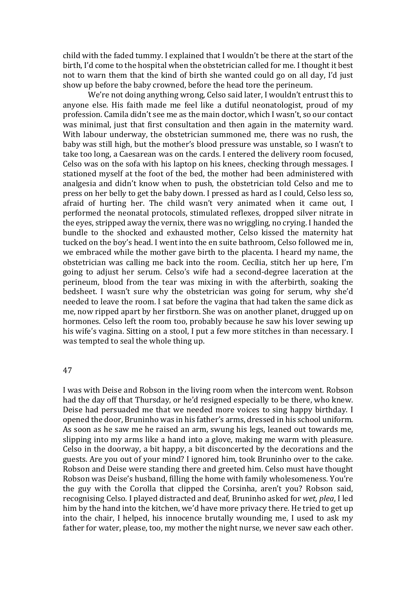child with the faded tummy. I explained that I wouldn't be there at the start of the birth, I'd come to the hospital when the obstetrician called for me. I thought it best not to warn them that the kind of birth she wanted could go on all day, I'd just show up before the baby crowned, before the head tore the perineum.

We're not doing anything wrong, Celso said later, I wouldn't entrust this to anyone else. His faith made me feel like a dutiful neonatologist, proud of my profession. Camila didn't see me as the main doctor, which I wasn't, so our contact was minimal, just that first consultation and then again in the maternity ward. With labour underway, the obstetrician summoned me, there was no rush, the baby was still high, but the mother's blood pressure was unstable, so I wasn't to take too long, a Caesarean was on the cards. I entered the delivery room focused, Celso was on the sofa with his laptop on his knees, checking through messages. I stationed myself at the foot of the bed, the mother had been administered with analgesia and didn't know when to push, the obstetrician told Celso and me to press on her belly to get the baby down. I pressed as hard as I could, Celso less so, afraid of hurting her. The child wasn't very animated when it came out, I performed the neonatal protocols, stimulated reflexes, dropped silver nitrate in the eyes, stripped away the vernix, there was no wriggling, no crying. I handed the bundle to the shocked and exhausted mother, Celso kissed the maternity hat tucked on the boy's head. I went into the en suite bathroom, Celso followed me in, we embraced while the mother gave birth to the placenta. I heard my name, the obstetrician was calling me back into the room. Cecília, stitch her up here, I'm going to adjust her serum. Celso's wife had a second-degree laceration at the perineum, blood from the tear was mixing in with the afterbirth, soaking the bedsheet. I wasn't sure why the obstetrician was going for serum, why she'd needed to leave the room. I sat before the vagina that had taken the same dick as me, now ripped apart by her firstborn. She was on another planet, drugged up on hormones. Celso left the room too, probably because he saw his lover sewing up his wife's vagina. Sitting on a stool, I put a few more stitches in than necessary. I was tempted to seal the whole thing up.

## 47

I was with Deise and Robson in the living room when the intercom went. Robson had the day off that Thursday, or he'd resigned especially to be there, who knew. Deise had persuaded me that we needed more voices to sing happy birthday. I opened the door, Bruninho was in his father's arms, dressed in his school uniform. As soon as he saw me he raised an arm, swung his legs, leaned out towards me, slipping into my arms like a hand into a glove, making me warm with pleasure. Celso in the doorway, a bit happy, a bit disconcerted by the decorations and the guests. Are you out of your mind? I ignored him, took Bruninho over to the cake. Robson and Deise were standing there and greeted him. Celso must have thought Robson was Deise's husband, filling the home with family wholesomeness. You're the guy with the Corolla that clipped the Corsinha, aren't you? Robson said, recognising Celso. I played distracted and deaf, Bruninho asked for *wet, plea*, I led him by the hand into the kitchen, we'd have more privacy there. He tried to get up into the chair. I helped, his innocence brutally wounding me. I used to ask  $m\bar{v}$ father for water, please, too, my mother the night nurse, we never saw each other.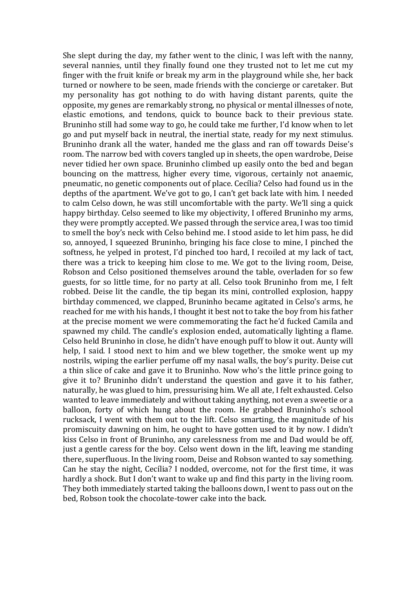She slept during the day, my father went to the clinic, I was left with the nanny, several nannies, until they finally found one they trusted not to let me cut my finger with the fruit knife or break my arm in the playground while she, her back turned or nowhere to be seen, made friends with the concierge or caretaker. But my personality has got nothing to do with having distant parents, quite the opposite, my genes are remarkably strong, no physical or mental illnesses of note, elastic emotions, and tendons, quick to bounce back to their previous state. Bruninho still had some way to go, he could take me further, I'd know when to let go and put myself back in neutral, the inertial state, ready for my next stimulus. Bruninho drank all the water, handed me the glass and ran off towards Deise's room. The narrow bed with covers tangled up in sheets, the open wardrobe, Deise never tidied her own space. Bruninho climbed up easily onto the bed and began bouncing on the mattress, higher every time, vigorous, certainly not anaemic, pneumatic, no genetic components out of place. Cecília? Celso had found us in the depths of the apartment. We've got to go, I can't get back late with him. I needed to calm Celso down, he was still uncomfortable with the party. We'll sing a quick happy birthday. Celso seemed to like my objectivity, I offered Bruninho my arms, they were promptly accepted. We passed through the service area, I was too timid to smell the boy's neck with Celso behind me. I stood aside to let him pass, he did so, annoyed, I squeezed Bruninho, bringing his face close to mine, I pinched the softness, he yelped in protest, I'd pinched too hard, I recoiled at my lack of tact, there was a trick to keeping him close to me. We got to the living room, Deise, Robson and Celso positioned themselves around the table, overladen for so few guests, for so little time, for no party at all. Celso took Bruninho from me, I felt robbed. Deise lit the candle, the tip began its mini, controlled explosion, happy birthday commenced, we clapped, Bruninho became agitated in Celso's arms, he reached for me with his hands, I thought it best not to take the boy from his father at the precise moment we were commemorating the fact he'd fucked Camila and spawned my child. The candle's explosion ended, automatically lighting a flame. Celso held Bruninho in close, he didn't have enough puff to blow it out. Aunty will help, I said. I stood next to him and we blew together, the smoke went up my nostrils, wiping the earlier perfume off my nasal walls, the boy's purity. Deise cut a thin slice of cake and gave it to Bruninho. Now who's the little prince going to give it to? Bruninho didn't understand the question and gave it to his father, naturally, he was glued to him, pressurising him. We all ate, I felt exhausted, Celso wanted to leave immediately and without taking anything, not even a sweetie or a balloon, forty of which hung about the room. He grabbed Bruninho's school rucksack, I went with them out to the lift. Celso smarting, the magnitude of his promiscuity dawning on him, he ought to have gotten used to it by now. I didn't kiss Celso in front of Bruninho, any carelessness from me and Dad would be off, just a gentle caress for the boy. Celso went down in the lift, leaving me standing there, superfluous. In the living room, Deise and Robson wanted to say something. Can he stay the night, Cecília? I nodded, overcome, not for the first time, it was hardly a shock. But I don't want to wake up and find this party in the living room. They both immediately started taking the balloons down, I went to pass out on the bed. Robson took the chocolate-tower cake into the back.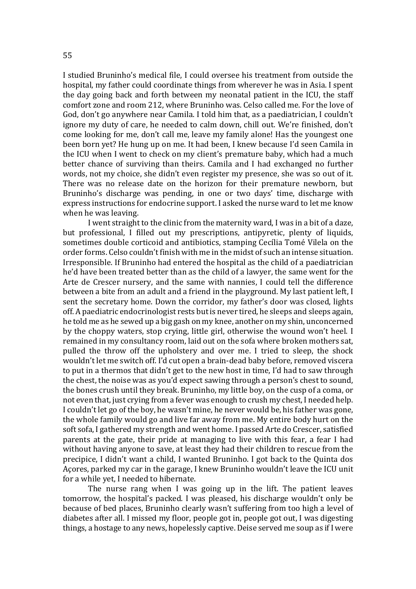I studied Bruninho's medical file, I could oversee his treatment from outside the hospital, my father could coordinate things from wherever he was in Asia. I spent the day going back and forth between my neonatal patient in the ICU, the staff comfort zone and room 212, where Bruninho was. Celso called me. For the love of God, don't go anywhere near Camila. I told him that, as a paediatrician, I couldn't ignore my duty of care, he needed to calm down, chill out. We're finished, don't come looking for me, don't call me, leave my family alone! Has the youngest one been born yet? He hung up on me. It had been, I knew because I'd seen Camila in the ICU when I went to check on my client's premature baby, which had a much better chance of surviving than theirs. Camila and I had exchanged no further words, not my choice, she didn't even register my presence, she was so out of it. There was no release date on the horizon for their premature newborn, but Bruninho's discharge was pending, in one or two days' time, discharge with express instructions for endocrine support. I asked the nurse ward to let me know when he was leaving.

I went straight to the clinic from the maternity ward, I was in a bit of a daze, but professional, I filled out my prescriptions, antipyretic, plenty of liquids, sometimes double corticoid and antibiotics, stamping Cecília Tomé Vilela on the order forms. Celso couldn't finish with me in the midst of such an intense situation. Irresponsible. If Bruninho had entered the hospital as the child of a paediatrician he'd have been treated better than as the child of a lawyer, the same went for the Arte de Crescer nursery, and the same with nannies, I could tell the difference between a bite from an adult and a friend in the playground. My last patient left, I sent the secretary home. Down the corridor, my father's door was closed, lights off. A paediatric endocrinologist rests but is never tired, he sleeps and sleeps again, he told me as he sewed up a big gash on my knee, another on my shin, unconcerned by the choppy waters, stop crying, little girl, otherwise the wound won't heel. I remained in my consultancy room, laid out on the sofa where broken mothers sat, pulled the throw off the upholstery and over me. I tried to sleep, the shock wouldn't let me switch off. I'd cut open a brain-dead baby before, removed viscera to put in a thermos that didn't get to the new host in time, I'd had to saw through the chest, the noise was as you'd expect sawing through a person's chest to sound, the bones crush until they break. Bruninho, my little boy, on the cusp of a coma, or not even that, just crying from a fever was enough to crush my chest, I needed help. I couldn't let go of the boy, he wasn't mine, he never would be, his father was gone, the whole family would go and live far away from me. My entire body hurt on the soft sofa, I gathered my strength and went home. I passed Arte do Crescer, satisfied parents at the gate, their pride at managing to live with this fear, a fear I had without having anyone to save, at least they had their children to rescue from the precipice, I didn't want a child. I wanted Bruninho. I got back to the Quinta dos Açores, parked my car in the garage, I knew Bruninho wouldn't leave the ICU unit for a while yet. I needed to hibernate.

The nurse rang when I was going up in the lift. The patient leaves tomorrow, the hospital's packed. I was pleased, his discharge wouldn't only be because of bed places, Bruninho clearly wasn't suffering from too high a level of diabetes after all. I missed my floor, people got in, people got out. I was digesting things, a hostage to any news, hopelessly captive. Deise served me soup as if I were